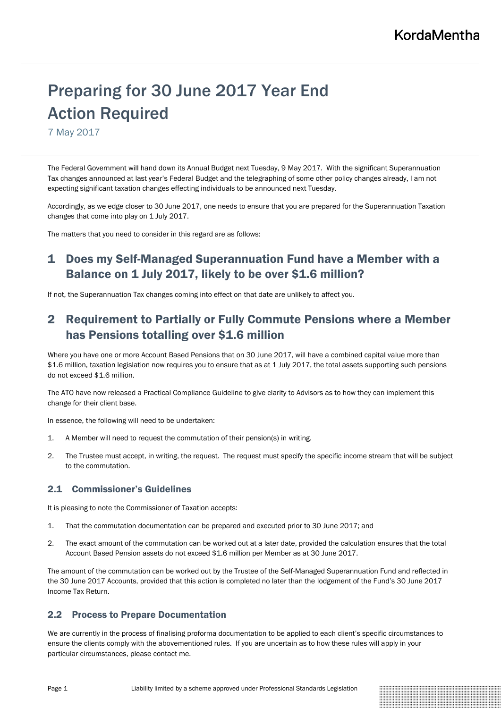# Preparing for 30 June 2017 Year End Action Required

7 May 2017

The Federal Government will hand down its Annual Budget next Tuesday, 9 May 2017. With the significant Superannuation Tax changes announced at last year's Federal Budget and the telegraphing of some other policy changes already, I am not expecting significant taxation changes effecting individuals to be announced next Tuesday.

Accordingly, as we edge closer to 30 June 2017, one needs to ensure that you are prepared for the Superannuation Taxation changes that come into play on 1 July 2017.

The matters that you need to consider in this regard are as follows:

### 1 Does my Self-Managed Superannuation Fund have a Member with a Balance on 1 July 2017, likely to be over \$1.6 million?

If not, the Superannuation Tax changes coming into effect on that date are unlikely to affect you.

### 2 Requirement to Partially or Fully Commute Pensions where a Member has Pensions totalling over \$1.6 million

Where you have one or more Account Based Pensions that on 30 June 2017, will have a combined capital value more than \$1.6 million, taxation legislation now requires you to ensure that as at 1 July 2017, the total assets supporting such pensions do not exceed \$1.6 million.

The ATO have now released a Practical Compliance Guideline to give clarity to Advisors as to how they can implement this change for their client base.

In essence, the following will need to be undertaken:

- 1. A Member will need to request the commutation of their pension(s) in writing.
- 2. The Trustee must accept, in writing, the request. The request must specify the specific income stream that will be subject to the commutation.

#### 2.1 Commissioner's Guidelines

It is pleasing to note the Commissioner of Taxation accepts:

- 1. That the commutation documentation can be prepared and executed prior to 30 June 2017; and
- 2. The exact amount of the commutation can be worked out at a later date, provided the calculation ensures that the total Account Based Pension assets do not exceed \$1.6 million per Member as at 30 June 2017.

The amount of the commutation can be worked out by the Trustee of the Self-Managed Superannuation Fund and reflected in the 30 June 2017 Accounts, provided that this action is completed no later than the lodgement of the Fund's 30 June 2017 Income Tax Return.

#### 2.2 Process to Prepare Documentation

We are currently in the process of finalising proforma documentation to be applied to each client's specific circumstances to ensure the clients comply with the abovementioned rules. If you are uncertain as to how these rules will apply in your particular circumstances, please contact me.